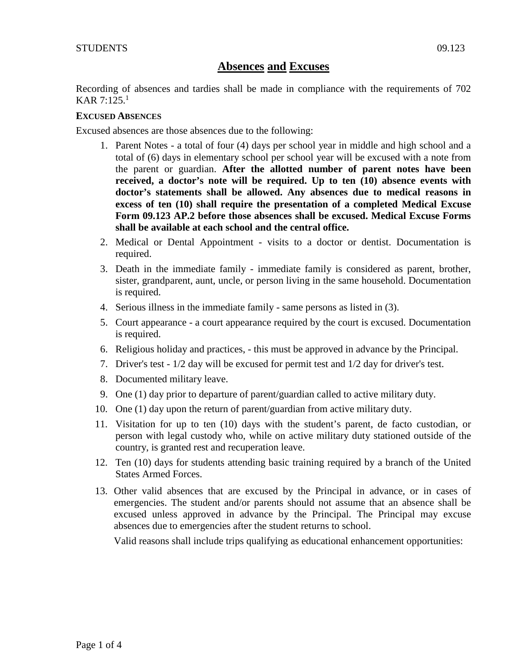#### STUDENTS 09.123

## **Absences and Excuses**

Recording of absences and tardies shall be made in compliance with the requirements of 702 KAR  $7:125.<sup>1</sup>$ 

#### **EXCUSED ABSENCES**

Excused absences are those absences due to the following:

- 1. Parent Notes a total of four (4) days per school year in middle and high school and a total of (6) days in elementary school per school year will be excused with a note from the parent or guardian. **After the allotted number of parent notes have been received, a doctor's note will be required. Up to ten (10) absence events with doctor's statements shall be allowed. Any absences due to medical reasons in excess of ten (10) shall require the presentation of a completed Medical Excuse Form 09.123 AP.2 before those absences shall be excused. Medical Excuse Forms shall be available at each school and the central office.**
- 2. Medical or Dental Appointment visits to a doctor or dentist. Documentation is required.
- 3. Death in the immediate family immediate family is considered as parent, brother, sister, grandparent, aunt, uncle, or person living in the same household. Documentation is required.
- 4. Serious illness in the immediate family same persons as listed in (3).
- 5. Court appearance a court appearance required by the court is excused. Documentation is required.
- 6. Religious holiday and practices, this must be approved in advance by the Principal.
- 7. Driver's test 1/2 day will be excused for permit test and 1/2 day for driver's test.
- 8. Documented military leave.
- 9. One (1) day prior to departure of parent/guardian called to active military duty.
- 10. One (1) day upon the return of parent/guardian from active military duty.
- 11. Visitation for up to ten (10) days with the student's parent, de facto custodian, or person with legal custody who, while on active military duty stationed outside of the country, is granted rest and recuperation leave.
- 12. Ten (10) days for students attending basic training required by a branch of the United States Armed Forces.
- 13. Other valid absences that are excused by the Principal in advance, or in cases of emergencies. The student and/or parents should not assume that an absence shall be excused unless approved in advance by the Principal. The Principal may excuse absences due to emergencies after the student returns to school.

Valid reasons shall include trips qualifying as educational enhancement opportunities: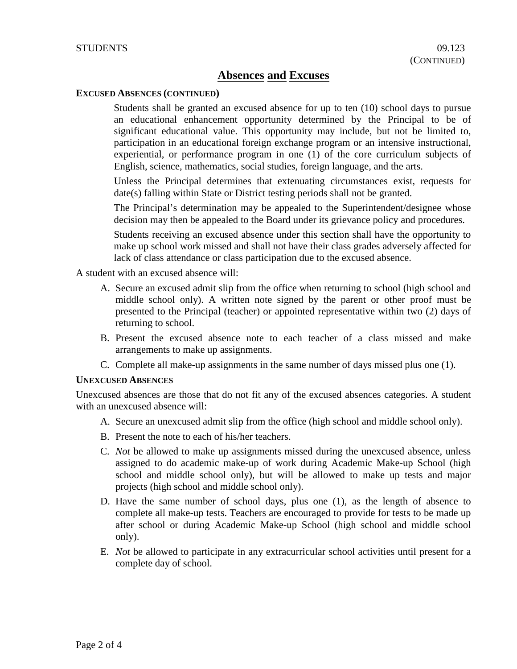### **Absences and Excuses**

#### **EXCUSED ABSENCES (CONTINUED)**

Students shall be granted an excused absence for up to ten (10) school days to pursue an educational enhancement opportunity determined by the Principal to be of significant educational value. This opportunity may include, but not be limited to, participation in an educational foreign exchange program or an intensive instructional, experiential, or performance program in one (1) of the core curriculum subjects of English, science, mathematics, social studies, foreign language, and the arts.

Unless the Principal determines that extenuating circumstances exist, requests for date(s) falling within State or District testing periods shall not be granted.

The Principal's determination may be appealed to the Superintendent/designee whose decision may then be appealed to the Board under its grievance policy and procedures.

Students receiving an excused absence under this section shall have the opportunity to make up school work missed and shall not have their class grades adversely affected for lack of class attendance or class participation due to the excused absence.

A student with an excused absence will:

- A. Secure an excused admit slip from the office when returning to school (high school and middle school only). A written note signed by the parent or other proof must be presented to the Principal (teacher) or appointed representative within two (2) days of returning to school.
- B. Present the excused absence note to each teacher of a class missed and make arrangements to make up assignments.
- C. Complete all make-up assignments in the same number of days missed plus one (1).

#### **UNEXCUSED ABSENCES**

Unexcused absences are those that do not fit any of the excused absences categories. A student with an unexcused absence will:

- A. Secure an unexcused admit slip from the office (high school and middle school only).
- B. Present the note to each of his/her teachers.
- C. *Not* be allowed to make up assignments missed during the unexcused absence, unless assigned to do academic make-up of work during Academic Make-up School (high school and middle school only), but will be allowed to make up tests and major projects (high school and middle school only).
- D. Have the same number of school days, plus one (1), as the length of absence to complete all make-up tests. Teachers are encouraged to provide for tests to be made up after school or during Academic Make-up School (high school and middle school only).
- E. *Not* be allowed to participate in any extracurricular school activities until present for a complete day of school.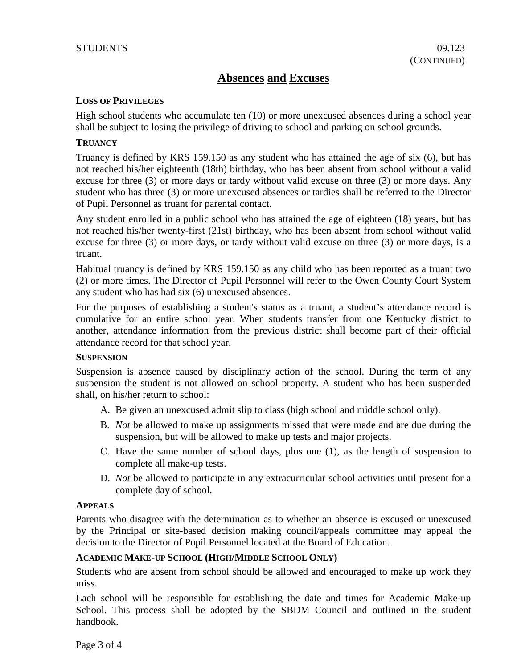# **Absences and Excuses**

#### **LOSS OF PRIVILEGES**

High school students who accumulate ten (10) or more unexcused absences during a school year shall be subject to losing the privilege of driving to school and parking on school grounds.

#### **TRUANCY**

Truancy is defined by KRS 159.150 as any student who has attained the age of six (6), but has not reached his/her eighteenth (18th) birthday, who has been absent from school without a valid excuse for three (3) or more days or tardy without valid excuse on three (3) or more days. Any student who has three (3) or more unexcused absences or tardies shall be referred to the Director of Pupil Personnel as truant for parental contact.

Any student enrolled in a public school who has attained the age of eighteen (18) years, but has not reached his/her twenty-first (21st) birthday, who has been absent from school without valid excuse for three (3) or more days, or tardy without valid excuse on three (3) or more days, is a truant.

Habitual truancy is defined by KRS 159.150 as any child who has been reported as a truant two (2) or more times. The Director of Pupil Personnel will refer to the Owen County Court System any student who has had six (6) unexcused absences.

For the purposes of establishing a student's status as a truant, a student's attendance record is cumulative for an entire school year. When students transfer from one Kentucky district to another, attendance information from the previous district shall become part of their official attendance record for that school year.

#### **SUSPENSION**

Suspension is absence caused by disciplinary action of the school. During the term of any suspension the student is not allowed on school property. A student who has been suspended shall, on his/her return to school:

- A. Be given an unexcused admit slip to class (high school and middle school only).
- B. *Not* be allowed to make up assignments missed that were made and are due during the suspension, but will be allowed to make up tests and major projects.
- C. Have the same number of school days, plus one (1), as the length of suspension to complete all make-up tests.
- D. *Not* be allowed to participate in any extracurricular school activities until present for a complete day of school.

#### **APPEALS**

Parents who disagree with the determination as to whether an absence is excused or unexcused by the Principal or site-based decision making council/appeals committee may appeal the decision to the Director of Pupil Personnel located at the Board of Education.

#### **ACADEMIC MAKE-UP SCHOOL (HIGH/MIDDLE SCHOOL ONLY)**

Students who are absent from school should be allowed and encouraged to make up work they miss.

Each school will be responsible for establishing the date and times for Academic Make-up School. This process shall be adopted by the SBDM Council and outlined in the student handbook.